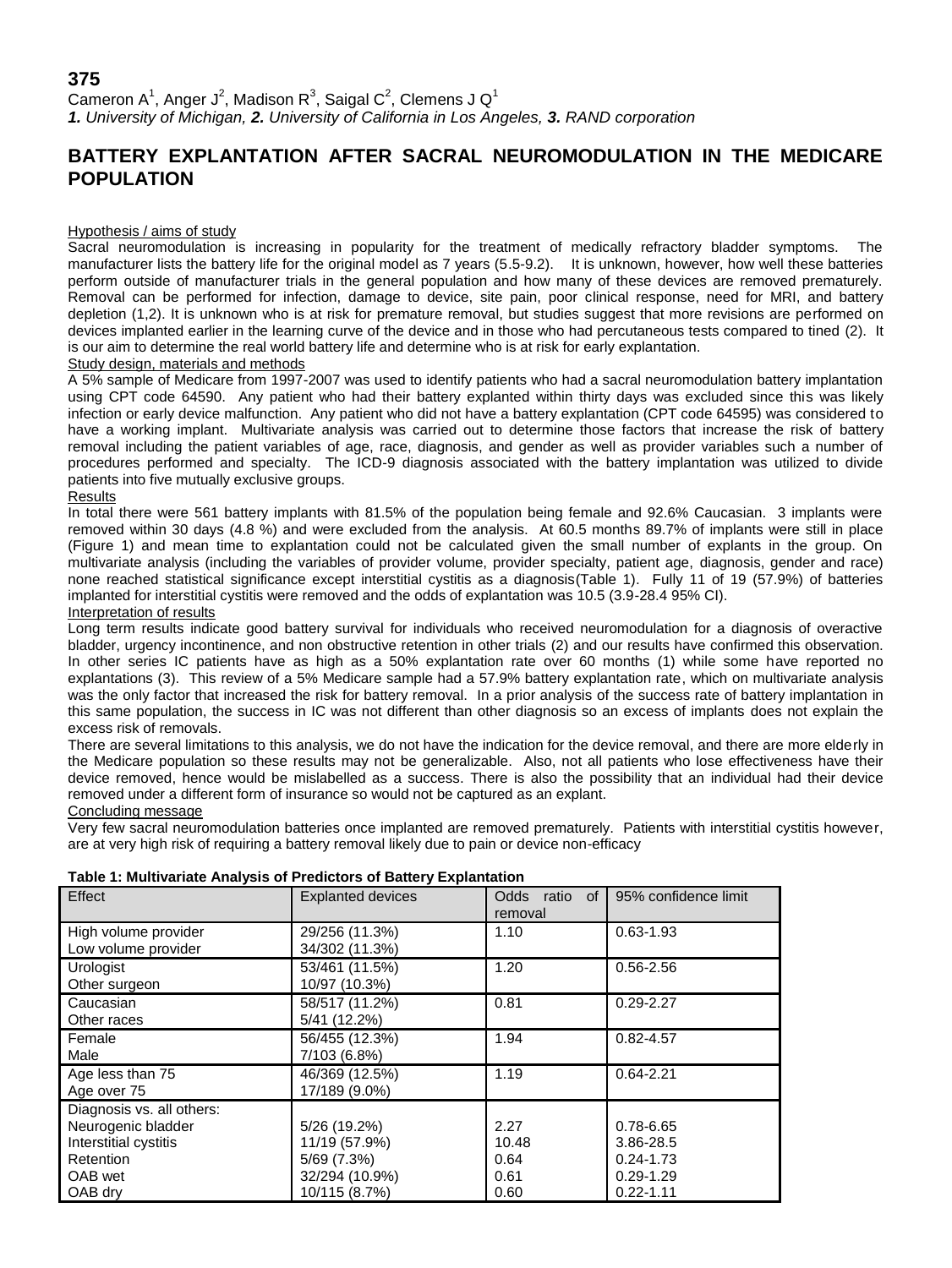## **375** Cameron A<sup>1</sup>, Anger J<sup>2</sup>, Madison R<sup>3</sup>, Saigal C<sup>2</sup>, Clemens J Q<sup>1</sup> *1. University of Michigan, 2. University of California in Los Angeles, 3. RAND corporation*

# **BATTERY EXPLANTATION AFTER SACRAL NEUROMODULATION IN THE MEDICARE POPULATION**

#### Hypothesis / aims of study

Sacral neuromodulation is increasing in popularity for the treatment of medically refractory bladder symptoms. The manufacturer lists the battery life for the original model as 7 years (5.5-9.2). It is unknown, however, how well these batteries perform outside of manufacturer trials in the general population and how many of these devices are removed prematurely. Removal can be performed for infection, damage to device, site pain, poor clinical response, need for MRI, and battery depletion (1,2). It is unknown who is at risk for premature removal, but studies suggest that more revisions are performed on devices implanted earlier in the learning curve of the device and in those who had percutaneous tests compared to tined (2). It is our aim to determine the real world battery life and determine who is at risk for early explantation.

## Study design, materials and methods

A 5% sample of Medicare from 1997-2007 was used to identify patients who had a sacral neuromodulation battery implantation using CPT code 64590. Any patient who had their battery explanted within thirty days was excluded since this was likely infection or early device malfunction. Any patient who did not have a battery explantation (CPT code 64595) was considered to have a working implant. Multivariate analysis was carried out to determine those factors that increase the risk of battery removal including the patient variables of age, race, diagnosis, and gender as well as provider variables such a number of procedures performed and specialty. The ICD-9 diagnosis associated with the battery implantation was utilized to divide patients into five mutually exclusive groups.

#### **Results**

In total there were 561 battery implants with 81.5% of the population being female and 92.6% Caucasian. 3 implants were removed within 30 days (4.8 %) and were excluded from the analysis. At 60.5 months 89.7% of implants were still in place (Figure 1) and mean time to explantation could not be calculated given the small number of explants in the group. On multivariate analysis (including the variables of provider volume, provider specialty, patient age, diagnosis, gender and race) none reached statistical significance except interstitial cystitis as a diagnosis(Table 1). Fully 11 of 19 (57.9%) of batteries implanted for interstitial cystitis were removed and the odds of explantation was 10.5 (3.9-28.4 95% CI).

### Interpretation of results

Long term results indicate good battery survival for individuals who received neuromodulation for a diagnosis of overactive bladder, urgency incontinence, and non obstructive retention in other trials (2) and our results have confirmed this observation. In other series IC patients have as high as a 50% explantation rate over 60 months (1) while some have reported no explantations (3). This review of a 5% Medicare sample had a 57.9% battery explantation rate, which on multivariate analysis was the only factor that increased the risk for battery removal. In a prior analysis of the success rate of battery implantation in this same population, the success in IC was not different than other diagnosis so an excess of implants does not explain the excess risk of removals.

There are several limitations to this analysis, we do not have the indication for the device removal, and there are more elderly in the Medicare population so these results may not be generalizable. Also, not all patients who lose effectiveness have their device removed, hence would be mislabelled as a success. There is also the possibility that an individual had their device removed under a different form of insurance so would not be captured as an explant.

#### Concluding message

Very few sacral neuromodulation batteries once implanted are removed prematurely. Patients with interstitial cystitis however, are at very high risk of requiring a battery removal likely due to pain or device non-efficacy

| Table 1: Multivariate Analysis of Predictors of Battery Explantation |                            |                          |  |  |
|----------------------------------------------------------------------|----------------------------|--------------------------|--|--|
| $Eff \circ \circ f$                                                  | <b>L</b> Evplopted devices | $\overline{\phantom{a}}$ |  |  |

| Effect                                                                                                             | <b>Explanted devices</b>                                                        | Odds<br>ratio<br>of<br>removal        | 95% confidence limit                                                      |
|--------------------------------------------------------------------------------------------------------------------|---------------------------------------------------------------------------------|---------------------------------------|---------------------------------------------------------------------------|
| High volume provider<br>Low volume provider                                                                        | 29/256 (11.3%)<br>34/302 (11.3%)                                                | 1.10                                  | $0.63 - 1.93$                                                             |
| Urologist<br>Other surgeon                                                                                         | 53/461 (11.5%)<br>10/97 (10.3%)                                                 | 1.20                                  | $0.56 - 2.56$                                                             |
| Caucasian<br>Other races                                                                                           | 58/517 (11.2%)<br>5/41 (12.2%)                                                  | 0.81                                  | $0.29 - 2.27$                                                             |
| Female<br>Male                                                                                                     | 56/455 (12.3%)<br>7/103 (6.8%)                                                  | 1.94                                  | $0.82 - 4.57$                                                             |
| Age less than 75<br>Age over 75                                                                                    | 46/369 (12.5%)<br>17/189 (9.0%)                                                 | 1.19                                  | $0.64 - 2.21$                                                             |
| Diagnosis vs. all others:<br>Neurogenic bladder<br>Interstitial cystitis<br><b>Retention</b><br>OAB wet<br>OAB dry | 5/26 (19.2%)<br>11/19 (57.9%)<br>5/69 (7.3%)<br>32/294 (10.9%)<br>10/115 (8.7%) | 2.27<br>10.48<br>0.64<br>0.61<br>0.60 | 0.78-6.65<br>3.86-28.5<br>$0.24 - 1.73$<br>$0.29 - 1.29$<br>$0.22 - 1.11$ |